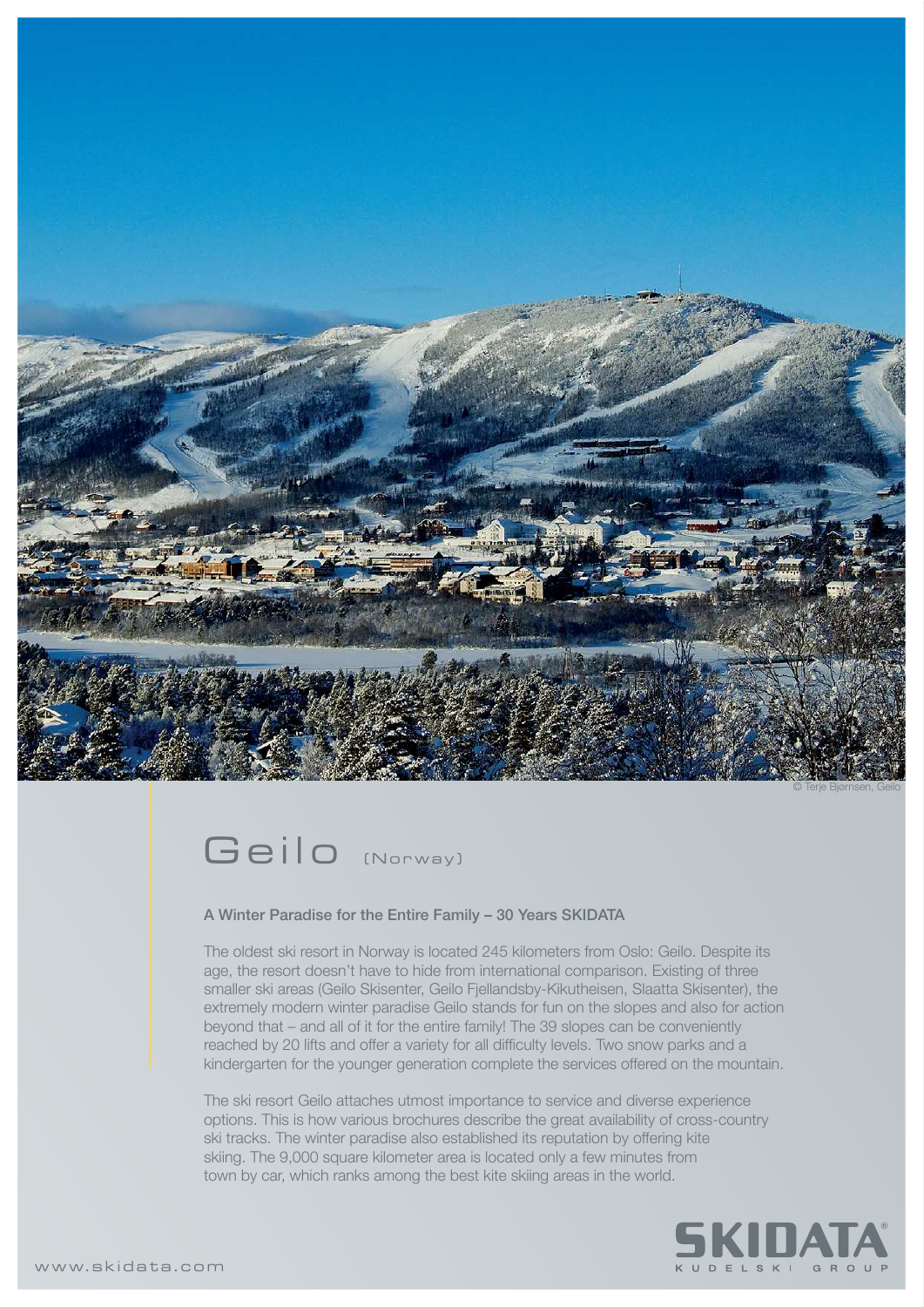



## A Winter Paradise for the Entire Family – 30 Years SKIDATA

The oldest ski resort in Norway is located 245 kilometers from Oslo: Geilo. Despite its age, the resort doesn't have to hide from international comparison. Existing of three smaller ski areas (Geilo Skisenter, Geilo Fjellandsby-Kikutheisen, Slaatta Skisenter), the extremely modern winter paradise Geilo stands for fun on the slopes and also for action beyond that – and all of it for the entire family! The 39 slopes can be conveniently reached by 20 lifts and offer a variety for all difficulty levels. Two snow parks and a kindergarten for the younger generation complete the services offered on the mountain.

The ski resort Geilo attaches utmost importance to service and diverse experience options. This is how various brochures describe the great availability of cross-country ski tracks. The winter paradise also established its reputation by offering kite skiing. The 9,000 square kilometer area is located only a few minutes from town by car, which ranks among the best kite skiing areas in the world.